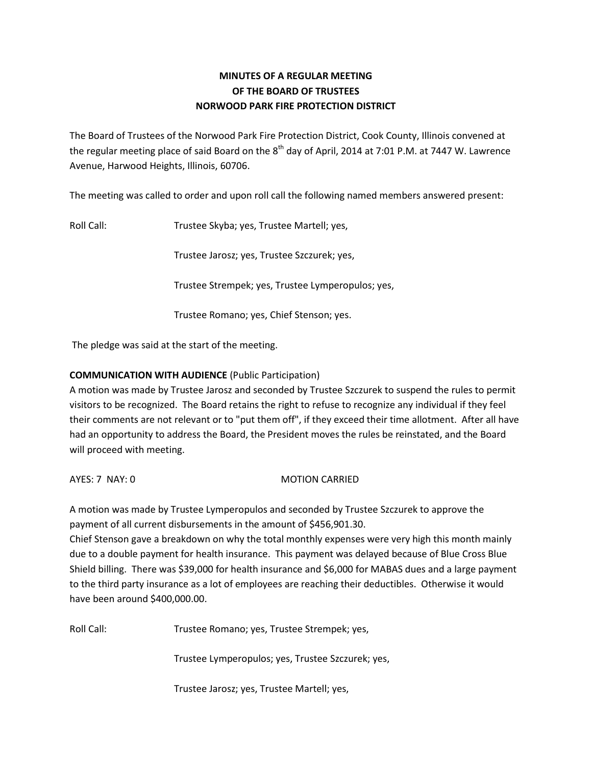# **MINUTES OF A REGULAR MEETING OF THE BOARD OF TRUSTEES NORWOOD PARK FIRE PROTECTION DISTRICT**

The Board of Trustees of the Norwood Park Fire Protection District, Cook County, Illinois convened at the regular meeting place of said Board on the  $8<sup>th</sup>$  day of April, 2014 at 7:01 P.M. at 7447 W. Lawrence Avenue, Harwood Heights, Illinois, 60706.

The meeting was called to order and upon roll call the following named members answered present:

Roll Call: Trustee Skyba; yes, Trustee Martell; yes,

Trustee Jarosz; yes, Trustee Szczurek; yes,

Trustee Strempek; yes, Trustee Lymperopulos; yes,

Trustee Romano; yes, Chief Stenson; yes.

The pledge was said at the start of the meeting.

# **COMMUNICATION WITH AUDIENCE** (Public Participation)

A motion was made by Trustee Jarosz and seconded by Trustee Szczurek to suspend the rules to permit visitors to be recognized. The Board retains the right to refuse to recognize any individual if they feel their comments are not relevant or to "put them off", if they exceed their time allotment. After all have had an opportunity to address the Board, the President moves the rules be reinstated, and the Board will proceed with meeting.

### AYES: 7 NAY: 0 MOTION CARRIED

A motion was made by Trustee Lymperopulos and seconded by Trustee Szczurek to approve the payment of all current disbursements in the amount of \$456,901.30.

Chief Stenson gave a breakdown on why the total monthly expenses were very high this month mainly due to a double payment for health insurance. This payment was delayed because of Blue Cross Blue Shield billing. There was \$39,000 for health insurance and \$6,000 for MABAS dues and a large payment to the third party insurance as a lot of employees are reaching their deductibles. Otherwise it would have been around \$400,000.00.

Roll Call: Trustee Romano; yes, Trustee Strempek; yes,

Trustee Lymperopulos; yes, Trustee Szczurek; yes,

Trustee Jarosz; yes, Trustee Martell; yes,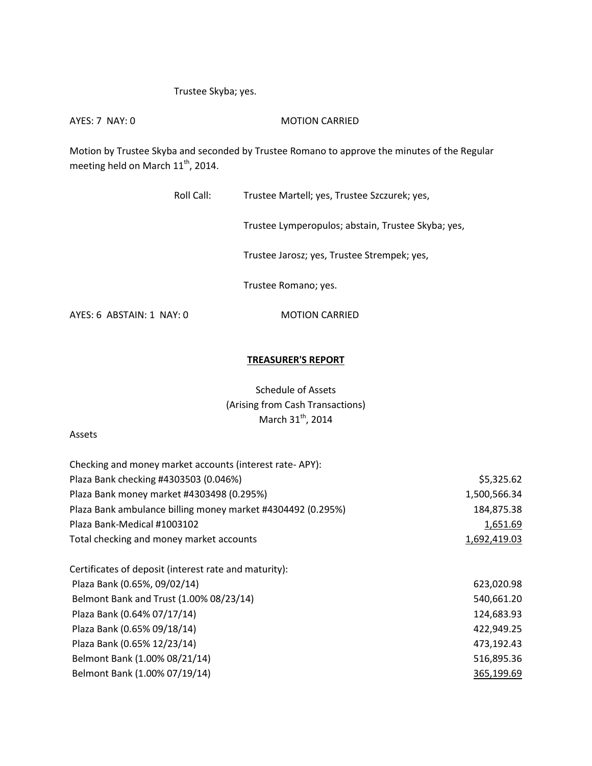# Trustee Skyba; yes.

AYES: 7 NAY: 0 MOTION CARRIED

Motion by Trustee Skyba and seconded by Trustee Romano to approve the minutes of the Regular meeting held on March 11<sup>th</sup>, 2014.

| Roll Call:                | Trustee Martell; yes, Trustee Szczurek; yes,       |
|---------------------------|----------------------------------------------------|
|                           | Trustee Lymperopulos; abstain, Trustee Skyba; yes, |
|                           | Trustee Jarosz; yes, Trustee Strempek; yes,        |
|                           | Trustee Romano; yes.                               |
| AYES: 6 ABSTAIN: 1 NAY: 0 | <b>MOTION CARRIED</b>                              |

### **TREASURER'S REPORT**

Schedule of Assets (Arising from Cash Transactions) March  $31<sup>th</sup>$ , 2014

#### Assets

| Checking and money market accounts (interest rate-APY):     |              |
|-------------------------------------------------------------|--------------|
| Plaza Bank checking #4303503 (0.046%)                       | \$5,325.62   |
| Plaza Bank money market #4303498 (0.295%)                   | 1,500,566.34 |
| Plaza Bank ambulance billing money market #4304492 (0.295%) | 184,875.38   |
| Plaza Bank-Medical #1003102                                 | 1,651.69     |
| Total checking and money market accounts                    | 1,692,419.03 |
| Certificates of deposit (interest rate and maturity):       |              |
| Plaza Bank (0.65%, 09/02/14)                                | 623,020.98   |
| Belmont Bank and Trust (1.00% 08/23/14)                     | 540,661.20   |
| Plaza Bank (0.64% 07/17/14)                                 | 124,683.93   |
| Plaza Bank (0.65% 09/18/14)                                 | 422,949.25   |
| Plaza Bank (0.65% 12/23/14)                                 | 473,192.43   |
| Belmont Bank (1.00% 08/21/14)                               | 516,895.36   |
| Belmont Bank (1.00% 07/19/14)                               | 365,199.69   |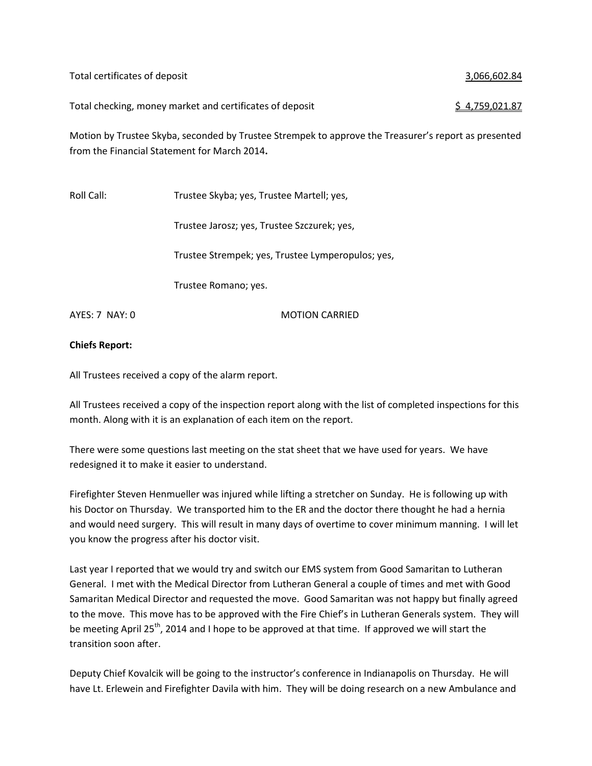Total certificates of deposit 3,066,602.84

Total checking, money market and certificates of deposit  $\frac{1}{2}$  4,759,021.87

Motion by Trustee Skyba, seconded by Trustee Strempek to approve the Treasurer's report as presented from the Financial Statement for March 2014**.** 

Roll Call: Trustee Skyba; yes, Trustee Martell; yes, Trustee Jarosz; yes, Trustee Szczurek; yes,

Trustee Strempek; yes, Trustee Lymperopulos; yes,

Trustee Romano; yes.

AYES: 7 NAY: 0 MOTION CARRIED

### **Chiefs Report:**

All Trustees received a copy of the alarm report.

All Trustees received a copy of the inspection report along with the list of completed inspections for this month. Along with it is an explanation of each item on the report.

There were some questions last meeting on the stat sheet that we have used for years. We have redesigned it to make it easier to understand.

Firefighter Steven Henmueller was injured while lifting a stretcher on Sunday. He is following up with his Doctor on Thursday. We transported him to the ER and the doctor there thought he had a hernia and would need surgery. This will result in many days of overtime to cover minimum manning. I will let you know the progress after his doctor visit.

Last year I reported that we would try and switch our EMS system from Good Samaritan to Lutheran General. I met with the Medical Director from Lutheran General a couple of times and met with Good Samaritan Medical Director and requested the move. Good Samaritan was not happy but finally agreed to the move. This move has to be approved with the Fire Chief's in Lutheran Generals system. They will be meeting April 25<sup>th</sup>, 2014 and I hope to be approved at that time. If approved we will start the transition soon after.

Deputy Chief Kovalcik will be going to the instructor's conference in Indianapolis on Thursday. He will have Lt. Erlewein and Firefighter Davila with him. They will be doing research on a new Ambulance and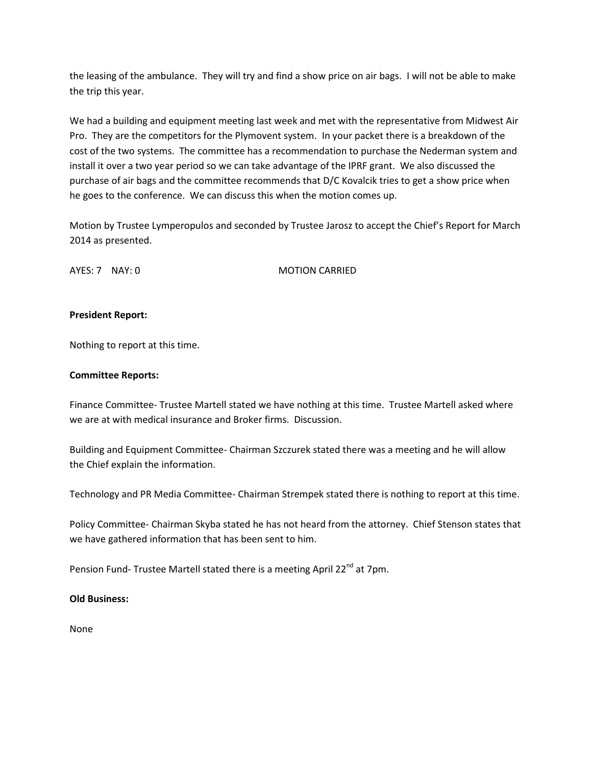the leasing of the ambulance. They will try and find a show price on air bags. I will not be able to make the trip this year.

We had a building and equipment meeting last week and met with the representative from Midwest Air Pro. They are the competitors for the Plymovent system. In your packet there is a breakdown of the cost of the two systems. The committee has a recommendation to purchase the Nederman system and install it over a two year period so we can take advantage of the IPRF grant. We also discussed the purchase of air bags and the committee recommends that D/C Kovalcik tries to get a show price when he goes to the conference. We can discuss this when the motion comes up.

Motion by Trustee Lymperopulos and seconded by Trustee Jarosz to accept the Chief's Report for March 2014 as presented.

AYES: 7 NAY: 0 MOTION CARRIED

#### **President Report:**

Nothing to report at this time.

#### **Committee Reports:**

Finance Committee- Trustee Martell stated we have nothing at this time. Trustee Martell asked where we are at with medical insurance and Broker firms. Discussion.

Building and Equipment Committee- Chairman Szczurek stated there was a meeting and he will allow the Chief explain the information.

Technology and PR Media Committee- Chairman Strempek stated there is nothing to report at this time.

Policy Committee- Chairman Skyba stated he has not heard from the attorney. Chief Stenson states that we have gathered information that has been sent to him.

Pension Fund- Trustee Martell stated there is a meeting April 22<sup>nd</sup> at 7pm.

### **Old Business:**

None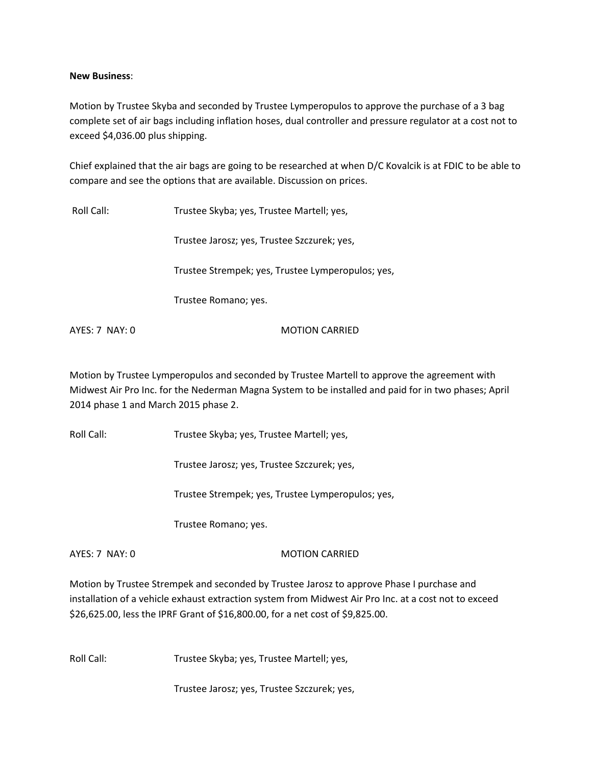#### **New Business**:

Motion by Trustee Skyba and seconded by Trustee Lymperopulos to approve the purchase of a 3 bag complete set of air bags including inflation hoses, dual controller and pressure regulator at a cost not to exceed \$4,036.00 plus shipping.

Chief explained that the air bags are going to be researched at when D/C Kovalcik is at FDIC to be able to compare and see the options that are available. Discussion on prices.

Roll Call: Trustee Skyba; yes, Trustee Martell; yes,

Trustee Jarosz; yes, Trustee Szczurek; yes,

Trustee Strempek; yes, Trustee Lymperopulos; yes,

Trustee Romano; yes.

AYES: 7 NAY: 0 MOTION CARRIED

Motion by Trustee Lymperopulos and seconded by Trustee Martell to approve the agreement with Midwest Air Pro Inc. for the Nederman Magna System to be installed and paid for in two phases; April 2014 phase 1 and March 2015 phase 2.

Roll Call: Trustee Skyba; yes, Trustee Martell; yes,

Trustee Jarosz; yes, Trustee Szczurek; yes,

Trustee Strempek; yes, Trustee Lymperopulos; yes,

Trustee Romano; yes.

AYES: 7 NAY: 0 MOTION CARRIED

Motion by Trustee Strempek and seconded by Trustee Jarosz to approve Phase I purchase and installation of a vehicle exhaust extraction system from Midwest Air Pro Inc. at a cost not to exceed \$26,625.00, less the IPRF Grant of \$16,800.00, for a net cost of \$9,825.00.

Roll Call: Trustee Skyba; yes, Trustee Martell; yes,

Trustee Jarosz; yes, Trustee Szczurek; yes,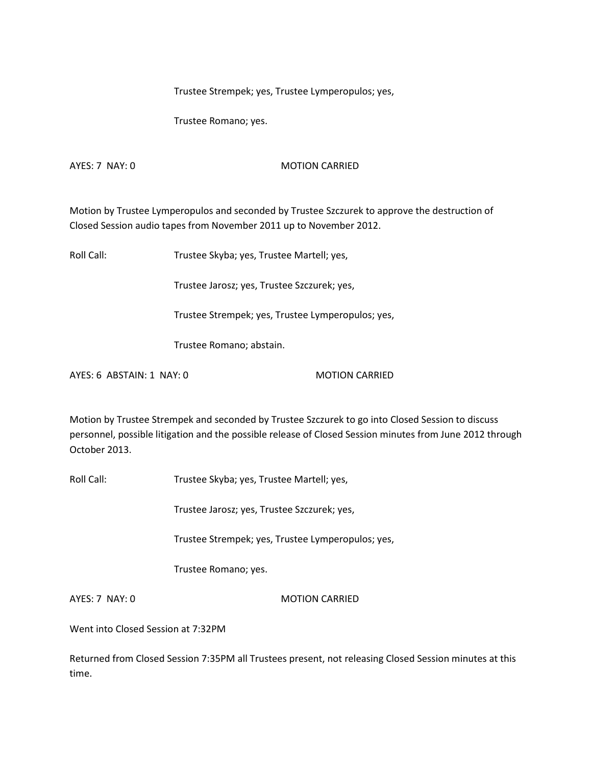Trustee Strempek; yes, Trustee Lymperopulos; yes,

Trustee Romano; yes.

AYES: 7 NAY: 0 MOTION CARRIED

Motion by Trustee Lymperopulos and seconded by Trustee Szczurek to approve the destruction of Closed Session audio tapes from November 2011 up to November 2012.

Roll Call: Trustee Skyba; yes, Trustee Martell; yes,

Trustee Jarosz; yes, Trustee Szczurek; yes,

Trustee Strempek; yes, Trustee Lymperopulos; yes,

Trustee Romano; abstain.

AYES: 6 ABSTAIN: 1 NAY: 0 MOTION CARRIED

Motion by Trustee Strempek and seconded by Trustee Szczurek to go into Closed Session to discuss personnel, possible litigation and the possible release of Closed Session minutes from June 2012 through October 2013.

Roll Call: Trustee Skyba; yes, Trustee Martell; yes,

Trustee Jarosz; yes, Trustee Szczurek; yes,

Trustee Strempek; yes, Trustee Lymperopulos; yes,

Trustee Romano; yes.

AYES: 7 NAY: 0 MOTION CARRIED

Went into Closed Session at 7:32PM

Returned from Closed Session 7:35PM all Trustees present, not releasing Closed Session minutes at this time.